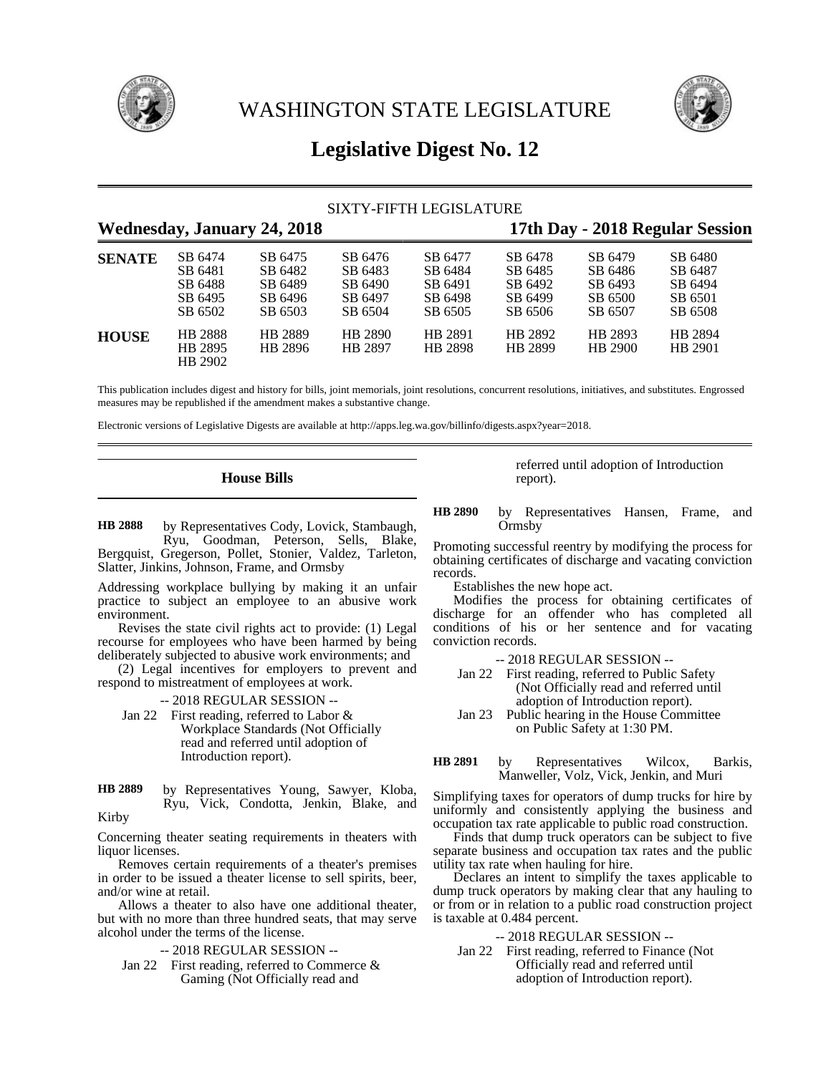

WASHINGTON STATE LEGISLATURE



# **Legislative Digest No. 12**

## SIXTY-FIFTH LEGISLATURE

# **Wednesday, January 24, 2018 17th Day - 2018 Regular Session**

| <b>SENATE</b> | SB 6474<br>SB 6481<br>SB 6488<br>SB 6495<br>SB 6502 | SB 6475<br>SB 6482<br>SB 6489<br>SB 6496<br>SB 6503 | SB 6476<br>SB 6483<br>SB 6490<br>SB 6497<br>SB 6504 | SB 6477<br>SB 6484<br>SB 6491<br>SB 6498<br>SB 6505 | SB 6478<br>SB 6485<br>SB 6492<br>SB 6499<br>SB 6506 | SB 6479<br>SB 6486<br>SB 6493<br>SB 6500<br>SB 6507 | SB 6480<br>SB 6487<br>SB 6494<br>SB 6501<br>SB 6508 |  |
|---------------|-----------------------------------------------------|-----------------------------------------------------|-----------------------------------------------------|-----------------------------------------------------|-----------------------------------------------------|-----------------------------------------------------|-----------------------------------------------------|--|
| <b>HOUSE</b>  | HB 2888<br>HB 2895<br>HB 2902                       | HB 2889<br>HB 2896                                  | HB 2890<br>HB 2897                                  | HB 2891<br>HB 2898                                  | HB 2892<br>HB 2899                                  | HB 2893<br>HB 2900                                  | HB 2894<br>HB 2901                                  |  |

This publication includes digest and history for bills, joint memorials, joint resolutions, concurrent resolutions, initiatives, and substitutes. Engrossed measures may be republished if the amendment makes a substantive change.

Electronic versions of Legislative Digests are available at http://apps.leg.wa.gov/billinfo/digests.aspx?year=2018.

## **House Bills**

by Representatives Cody, Lovick, Stambaugh, Ryu, Goodman, Peterson, Sells, Blake, Bergquist, Gregerson, Pollet, Stonier, Valdez, Tarleton, Slatter, Jinkins, Johnson, Frame, and Ormsby **HB 2888**

Addressing workplace bullying by making it an unfair practice to subject an employee to an abusive work environment.

Revises the state civil rights act to provide: (1) Legal recourse for employees who have been harmed by being deliberately subjected to abusive work environments; and

(2) Legal incentives for employers to prevent and respond to mistreatment of employees at work.

-- 2018 REGULAR SESSION --

Jan 22 First reading, referred to Labor & Workplace Standards (Not Officially read and referred until adoption of Introduction report).

by Representatives Young, Sawyer, Kloba, Ryu, Vick, Condotta, Jenkin, Blake, and Kirby **HB 2889**

Concerning theater seating requirements in theaters with liquor licenses.

Removes certain requirements of a theater's premises in order to be issued a theater license to sell spirits, beer, and/or wine at retail.

Allows a theater to also have one additional theater, but with no more than three hundred seats, that may serve alcohol under the terms of the license.

-- 2018 REGULAR SESSION --

Jan 22 First reading, referred to Commerce & Gaming (Not Officially read and

referred until adoption of Introduction report).

by Representatives Hansen, Frame, and **Ormsby HB 2890**

Promoting successful reentry by modifying the process for obtaining certificates of discharge and vacating conviction records.

Establishes the new hope act.

Modifies the process for obtaining certificates of discharge for an offender who has completed all conditions of his or her sentence and for vacating conviction records.

-- 2018 REGULAR SESSION --

- Jan 22 First reading, referred to Public Safety (Not Officially read and referred until adoption of Introduction report).
- Jan 23 Public hearing in the House Committee on Public Safety at 1:30 PM.
- by Representatives Wilcox, Barkis, Manweller, Volz, Vick, Jenkin, and Muri **HB 2891**

Simplifying taxes for operators of dump trucks for hire by uniformly and consistently applying the business and occupation tax rate applicable to public road construction.

Finds that dump truck operators can be subject to five separate business and occupation tax rates and the public utility tax rate when hauling for hire.

Declares an intent to simplify the taxes applicable to dump truck operators by making clear that any hauling to or from or in relation to a public road construction project is taxable at 0.484 percent.

-- 2018 REGULAR SESSION --

Jan 22 First reading, referred to Finance (Not Officially read and referred until adoption of Introduction report).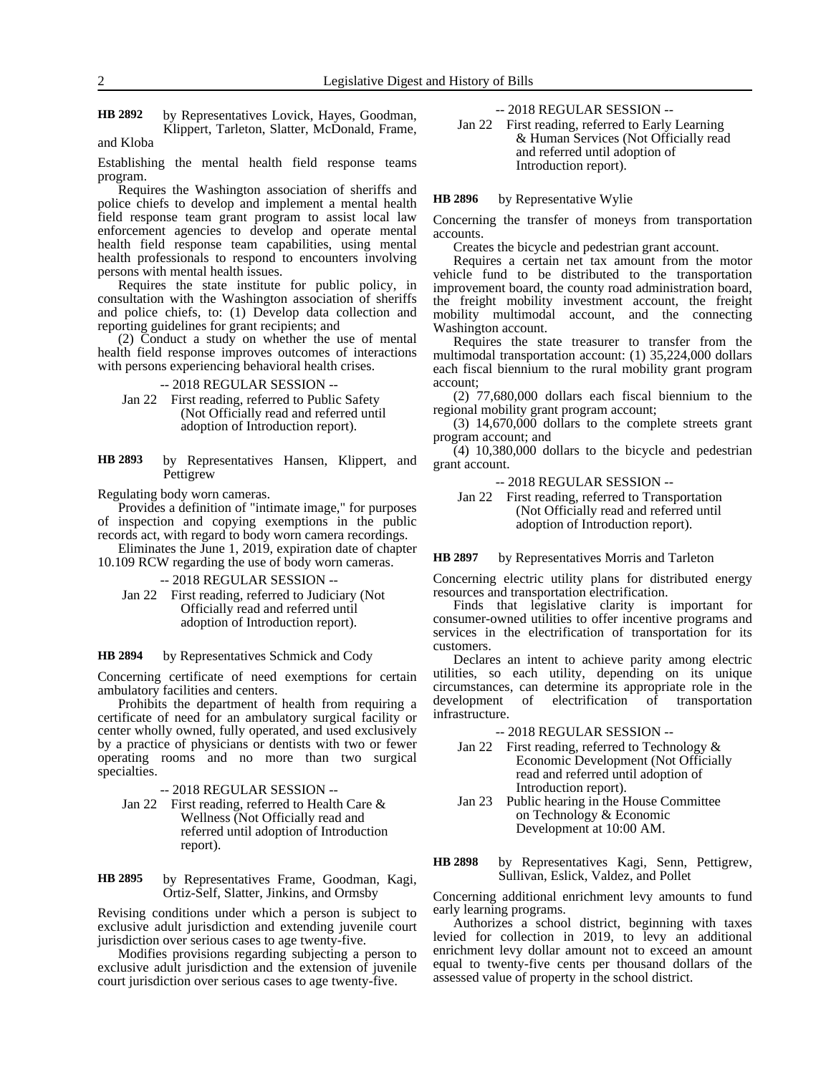by Representatives Lovick, Hayes, Goodman, Klippert, Tarleton, Slatter, McDonald, Frame, **HB 2892**

and Kloba

Establishing the mental health field response teams program.

Requires the Washington association of sheriffs and police chiefs to develop and implement a mental health field response team grant program to assist local law enforcement agencies to develop and operate mental health field response team capabilities, using mental health professionals to respond to encounters involving persons with mental health issues.

Requires the state institute for public policy, in consultation with the Washington association of sheriffs and police chiefs, to: (1) Develop data collection and reporting guidelines for grant recipients; and

(2) Conduct a study on whether the use of mental health field response improves outcomes of interactions with persons experiencing behavioral health crises.

-- 2018 REGULAR SESSION --

- Jan 22 First reading, referred to Public Safety (Not Officially read and referred until adoption of Introduction report).
- by Representatives Hansen, Klippert, and Pettigrew **HB 2893**

Regulating body worn cameras.

Provides a definition of "intimate image," for purposes of inspection and copying exemptions in the public records act, with regard to body worn camera recordings.

Eliminates the June 1, 2019, expiration date of chapter 10.109 RCW regarding the use of body worn cameras.

-- 2018 REGULAR SESSION --

Jan 22 First reading, referred to Judiciary (Not Officially read and referred until adoption of Introduction report).

### by Representatives Schmick and Cody **HB 2894**

Concerning certificate of need exemptions for certain ambulatory facilities and centers.

Prohibits the department of health from requiring a certificate of need for an ambulatory surgical facility or center wholly owned, fully operated, and used exclusively by a practice of physicians or dentists with two or fewer operating rooms and no more than two surgical specialties.

-- 2018 REGULAR SESSION --

Jan 22 First reading, referred to Health Care & Wellness (Not Officially read and referred until adoption of Introduction report).

### by Representatives Frame, Goodman, Kagi, Ortiz-Self, Slatter, Jinkins, and Ormsby **HB 2895**

Revising conditions under which a person is subject to exclusive adult jurisdiction and extending juvenile court jurisdiction over serious cases to age twenty-five.

Modifies provisions regarding subjecting a person to exclusive adult jurisdiction and the extension of juvenile court jurisdiction over serious cases to age twenty-five.

-- 2018 REGULAR SESSION --

Jan 22 First reading, referred to Early Learning & Human Services (Not Officially read and referred until adoption of Introduction report).

### by Representative Wylie **HB 2896**

Concerning the transfer of moneys from transportation accounts.

Creates the bicycle and pedestrian grant account.

Requires a certain net tax amount from the motor vehicle fund to be distributed to the transportation improvement board, the county road administration board, the freight mobility investment account, the freight mobility multimodal account, and the connecting Washington account.

Requires the state treasurer to transfer from the multimodal transportation account: (1) 35,224,000 dollars each fiscal biennium to the rural mobility grant program account;

(2) 77,680,000 dollars each fiscal biennium to the regional mobility grant program account;

(3) 14,670,000 dollars to the complete streets grant program account; and

(4) 10,380,000 dollars to the bicycle and pedestrian grant account.

### -- 2018 REGULAR SESSION --

Jan 22 First reading, referred to Transportation (Not Officially read and referred until adoption of Introduction report).

#### by Representatives Morris and Tarleton **HB 2897**

Concerning electric utility plans for distributed energy resources and transportation electrification.

Finds that legislative clarity is important for consumer-owned utilities to offer incentive programs and services in the electrification of transportation for its customers.

Declares an intent to achieve parity among electric utilities, so each utility, depending on its unique circumstances, can determine its appropriate role in the development of electrification of transportation infrastructure.

-- 2018 REGULAR SESSION --

- Jan 22 First reading, referred to Technology & Economic Development (Not Officially read and referred until adoption of Introduction report).
- Jan 23 Public hearing in the House Committee on Technology & Economic Development at 10:00 AM.
- by Representatives Kagi, Senn, Pettigrew, Sullivan, Eslick, Valdez, and Pollet **HB 2898**

Concerning additional enrichment levy amounts to fund early learning programs.

Authorizes a school district, beginning with taxes levied for collection in 2019, to levy an additional enrichment levy dollar amount not to exceed an amount equal to twenty-five cents per thousand dollars of the assessed value of property in the school district.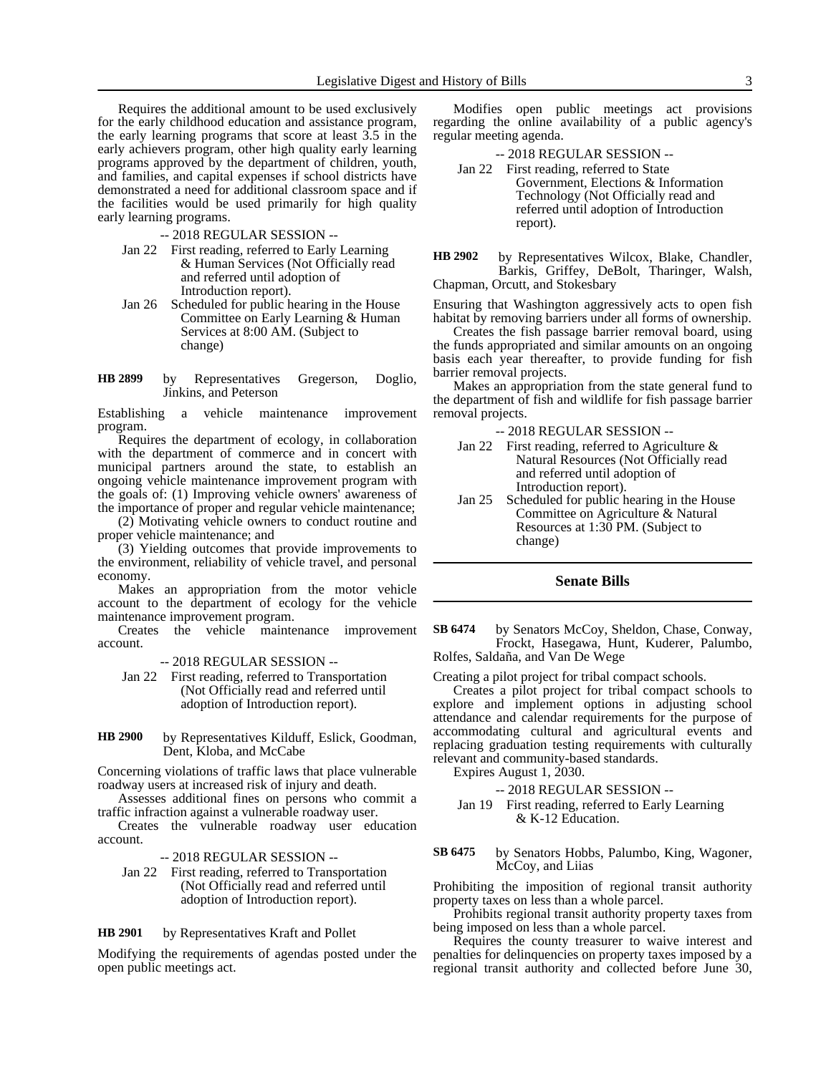Requires the additional amount to be used exclusively for the early childhood education and assistance program, the early learning programs that score at least 3.5 in the early achievers program, other high quality early learning programs approved by the department of children, youth, and families, and capital expenses if school districts have demonstrated a need for additional classroom space and if the facilities would be used primarily for high quality early learning programs.

- -- 2018 REGULAR SESSION --
- Jan 22 First reading, referred to Early Learning & Human Services (Not Officially read and referred until adoption of Introduction report).
- Jan 26 Scheduled for public hearing in the House Committee on Early Learning & Human Services at 8:00 AM. (Subject to change)

by Representatives Gregerson, Doglio, Jinkins, and Peterson **HB 2899**

Establishing a vehicle maintenance improvement program.

Requires the department of ecology, in collaboration with the department of commerce and in concert with municipal partners around the state, to establish an ongoing vehicle maintenance improvement program with the goals of: (1) Improving vehicle owners' awareness of the importance of proper and regular vehicle maintenance;

(2) Motivating vehicle owners to conduct routine and proper vehicle maintenance; and

(3) Yielding outcomes that provide improvements to the environment, reliability of vehicle travel, and personal economy.

Makes an appropriation from the motor vehicle account to the department of ecology for the vehicle maintenance improvement program.

Creates the vehicle maintenance improvement account.

-- 2018 REGULAR SESSION --

- Jan 22 First reading, referred to Transportation (Not Officially read and referred until adoption of Introduction report).
- by Representatives Kilduff, Eslick, Goodman, Dent, Kloba, and McCabe **HB 2900**

Concerning violations of traffic laws that place vulnerable roadway users at increased risk of injury and death.

Assesses additional fines on persons who commit a traffic infraction against a vulnerable roadway user.

Creates the vulnerable roadway user education account.

-- 2018 REGULAR SESSION --

Jan 22 First reading, referred to Transportation (Not Officially read and referred until adoption of Introduction report).

### by Representatives Kraft and Pollet **HB 2901**

Modifying the requirements of agendas posted under the open public meetings act.

Modifies open public meetings act provisions regarding the online availability of a public agency's regular meeting agenda.

- -- 2018 REGULAR SESSION --
- Jan 22 First reading, referred to State Government, Elections & Information Technology (Not Officially read and referred until adoption of Introduction report).
- by Representatives Wilcox, Blake, Chandler, Barkis, Griffey, DeBolt, Tharinger, Walsh, Chapman, Orcutt, and Stokesbary **HB 2902**

Ensuring that Washington aggressively acts to open fish habitat by removing barriers under all forms of ownership.

Creates the fish passage barrier removal board, using the funds appropriated and similar amounts on an ongoing basis each year thereafter, to provide funding for fish barrier removal projects.

Makes an appropriation from the state general fund to the department of fish and wildlife for fish passage barrier removal projects.

- -- 2018 REGULAR SESSION --
- Jan 22 First reading, referred to Agriculture & Natural Resources (Not Officially read and referred until adoption of Introduction report).
- Jan 25 Scheduled for public hearing in the House Committee on Agriculture & Natural Resources at 1:30 PM. (Subject to change)

### **Senate Bills**

by Senators McCoy, Sheldon, Chase, Conway, Frockt, Hasegawa, Hunt, Kuderer, Palumbo, Rolfes, Saldaña, and Van De Wege **SB 6474**

Creating a pilot project for tribal compact schools.

Creates a pilot project for tribal compact schools to explore and implement options in adjusting school attendance and calendar requirements for the purpose of accommodating cultural and agricultural events and replacing graduation testing requirements with culturally relevant and community-based standards.

Expires August 1, 2030.

-- 2018 REGULAR SESSION --

- Jan 19 First reading, referred to Early Learning & K-12 Education.
- by Senators Hobbs, Palumbo, King, Wagoner, McCoy, and Liias **SB 6475**

Prohibiting the imposition of regional transit authority property taxes on less than a whole parcel.

Prohibits regional transit authority property taxes from being imposed on less than a whole parcel.

Requires the county treasurer to waive interest and penalties for delinquencies on property taxes imposed by a regional transit authority and collected before June 30,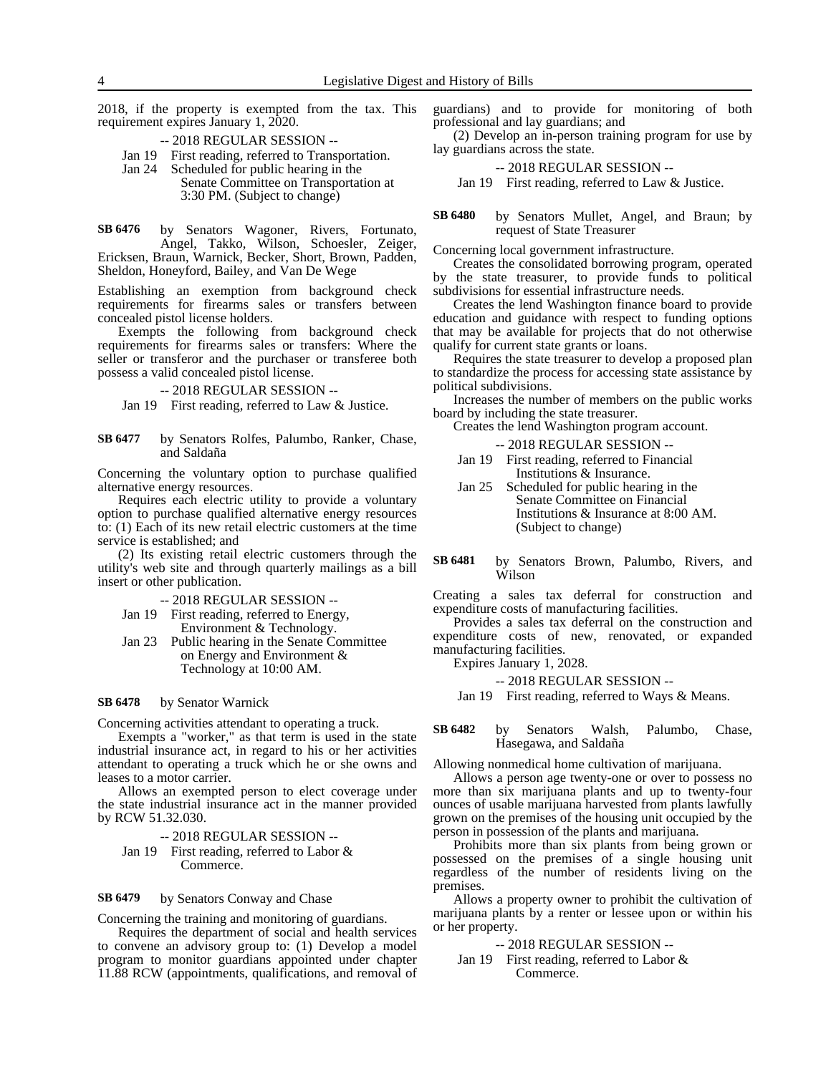2018, if the property is exempted from the tax. This requirement expires January 1, 2020.

-- 2018 REGULAR SESSION --

- Jan 19 First reading, referred to Transportation.
- Jan 24 Scheduled for public hearing in the Senate Committee on Transportation at 3:30 PM. (Subject to change)

by Senators Wagoner, Rivers, Fortunato, Angel, Takko, Wilson, Schoesler, Zeiger, Ericksen, Braun, Warnick, Becker, Short, Brown, Padden, Sheldon, Honeyford, Bailey, and Van De Wege **SB 6476**

Establishing an exemption from background check requirements for firearms sales or transfers between concealed pistol license holders.

Exempts the following from background check requirements for firearms sales or transfers: Where the seller or transferor and the purchaser or transferee both possess a valid concealed pistol license.

-- 2018 REGULAR SESSION --

Jan 19 First reading, referred to Law & Justice.

by Senators Rolfes, Palumbo, Ranker, Chase, and Saldaña **SB 6477**

Concerning the voluntary option to purchase qualified alternative energy resources.

Requires each electric utility to provide a voluntary option to purchase qualified alternative energy resources to: (1) Each of its new retail electric customers at the time service is established; and

(2) Its existing retail electric customers through the utility's web site and through quarterly mailings as a bill insert or other publication.

- -- 2018 REGULAR SESSION --
- Jan 19 First reading, referred to Energy, Environment & Technology.
- Jan 23 Public hearing in the Senate Committee on Energy and Environment & Technology at 10:00 AM.

### by Senator Warnick **SB 6478**

Concerning activities attendant to operating a truck.

Exempts a "worker," as that term is used in the state industrial insurance act, in regard to his or her activities attendant to operating a truck which he or she owns and leases to a motor carrier.

Allows an exempted person to elect coverage under the state industrial insurance act in the manner provided by RCW 51.32.030.

-- 2018 REGULAR SESSION -- Jan 19 First reading, referred to Labor & Commerce.

by Senators Conway and Chase **SB 6479**

Concerning the training and monitoring of guardians.

Requires the department of social and health services to convene an advisory group to: (1) Develop a model program to monitor guardians appointed under chapter 11.88 RCW (appointments, qualifications, and removal of

guardians) and to provide for monitoring of both professional and lay guardians; and

(2) Develop an in-person training program for use by lay guardians across the state.

-- 2018 REGULAR SESSION --

Jan 19 First reading, referred to Law & Justice.

by Senators Mullet, Angel, and Braun; by request of State Treasurer **SB 6480**

Concerning local government infrastructure.

Creates the consolidated borrowing program, operated by the state treasurer, to provide funds to political subdivisions for essential infrastructure needs.

Creates the lend Washington finance board to provide education and guidance with respect to funding options that may be available for projects that do not otherwise qualify for current state grants or loans.

Requires the state treasurer to develop a proposed plan to standardize the process for accessing state assistance by political subdivisions.

Increases the number of members on the public works board by including the state treasurer.

Creates the lend Washington program account.

| --2018 REGULAR SESSION --                   |
|---------------------------------------------|
| Jan 19 First reading, referred to Financial |
| Institutions & Insurance.                   |
| Jan 25 Scheduled for public hearing in the  |
| Senate Committee on Financial               |
| Institutions & Insurance at 8:00 AM.        |
| (Subject to change)                         |

by Senators Brown, Palumbo, Rivers, and Wilson **SB 6481**

Creating a sales tax deferral for construction and expenditure costs of manufacturing facilities.

Provides a sales tax deferral on the construction and expenditure costs of new, renovated, or expanded manufacturing facilities.

Expires January 1, 2028.

-- 2018 REGULAR SESSION --

Jan 19 First reading, referred to Ways & Means.

by Senators Walsh, Palumbo, Chase, Hasegawa, and Saldaña **SB 6482**

Allowing nonmedical home cultivation of marijuana.

Allows a person age twenty-one or over to possess no more than six marijuana plants and up to twenty-four ounces of usable marijuana harvested from plants lawfully grown on the premises of the housing unit occupied by the person in possession of the plants and marijuana.

Prohibits more than six plants from being grown or possessed on the premises of a single housing unit regardless of the number of residents living on the premises.

Allows a property owner to prohibit the cultivation of marijuana plants by a renter or lessee upon or within his or her property.

-- 2018 REGULAR SESSION --

Jan 19 First reading, referred to Labor & Commerce.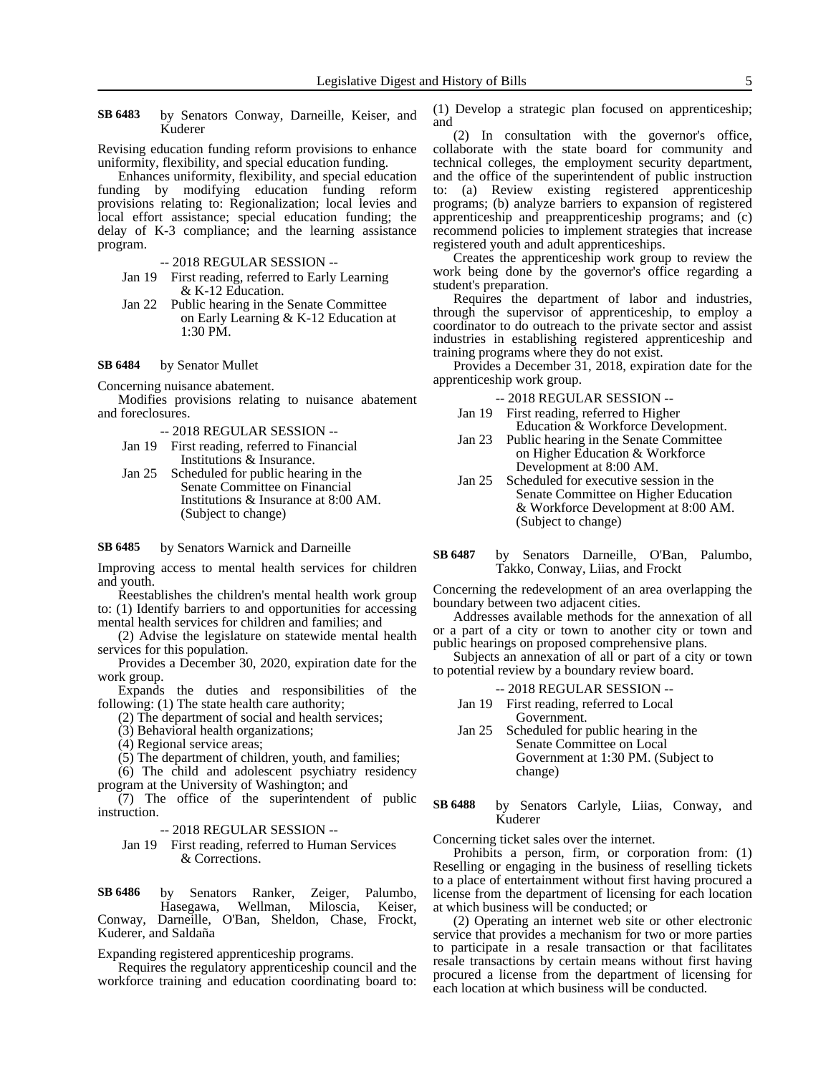by Senators Conway, Darneille, Keiser, and Kuderer **SB 6483**

Revising education funding reform provisions to enhance uniformity, flexibility, and special education funding.

Enhances uniformity, flexibility, and special education funding by modifying education funding reform provisions relating to: Regionalization; local levies and local effort assistance; special education funding; the delay of K-3 compliance; and the learning assistance program.

-- 2018 REGULAR SESSION --

- Jan 19 First reading, referred to Early Learning & K-12 Education.
- Jan 22 Public hearing in the Senate Committee on Early Learning & K-12 Education at 1:30 PM.

### by Senator Mullet **SB 6484**

Concerning nuisance abatement.

Modifies provisions relating to nuisance abatement and foreclosures.

-- 2018 REGULAR SESSION --

- Jan 19 First reading, referred to Financial Institutions & Insurance.
- Jan 25 Scheduled for public hearing in the Senate Committee on Financial Institutions & Insurance at 8:00 AM. (Subject to change)

by Senators Warnick and Darneille **SB 6485**

Improving access to mental health services for children and youth.

Reestablishes the children's mental health work group to: (1) Identify barriers to and opportunities for accessing mental health services for children and families; and

(2) Advise the legislature on statewide mental health services for this population.

Provides a December 30, 2020, expiration date for the work group.

Expands the duties and responsibilities of the following: (1) The state health care authority;

- (2) The department of social and health services;
- (3) Behavioral health organizations;
- (4) Regional service areas;
- (5) The department of children, youth, and families;

(6) The child and adolescent psychiatry residency

program at the University of Washington; and  $(7)$  The office of the superintendent of public instruction.

-- 2018 REGULAR SESSION --

Jan 19 First reading, referred to Human Services & Corrections.

by Senators Ranker, Zeiger, Palumbo, Hasegawa, Wellman, Miloscia, Keiser, Conway, Darneille, O'Ban, Sheldon, Chase, Frockt, Kuderer, and Saldaña **SB 6486**

Expanding registered apprenticeship programs.

Requires the regulatory apprenticeship council and the workforce training and education coordinating board to:

(1) Develop a strategic plan focused on apprenticeship; and

(2) In consultation with the governor's office, collaborate with the state board for community and technical colleges, the employment security department, and the office of the superintendent of public instruction to: (a) Review existing registered apprenticeship programs; (b) analyze barriers to expansion of registered apprenticeship and preapprenticeship programs; and (c) recommend policies to implement strategies that increase registered youth and adult apprenticeships.

Creates the apprenticeship work group to review the work being done by the governor's office regarding a student's preparation.

Requires the department of labor and industries, through the supervisor of apprenticeship, to employ a coordinator to do outreach to the private sector and assist industries in establishing registered apprenticeship and training programs where they do not exist.

Provides a December 31, 2018, expiration date for the apprenticeship work group.

-- 2018 REGULAR SESSION --

- Jan 19 First reading, referred to Higher Education & Workforce Development.
- Jan 23 Public hearing in the Senate Committee on Higher Education & Workforce Development at 8:00 AM.
- Jan 25 Scheduled for executive session in the Senate Committee on Higher Education & Workforce Development at 8:00 AM. (Subject to change)
- by Senators Darneille, O'Ban, Palumbo, Takko, Conway, Liias, and Frockt **SB 6487**

Concerning the redevelopment of an area overlapping the boundary between two adjacent cities.

Addresses available methods for the annexation of all or a part of a city or town to another city or town and public hearings on proposed comprehensive plans.

Subjects an annexation of all or part of a city or town to potential review by a boundary review board.

- -- 2018 REGULAR SESSION --
- Jan 19 First reading, referred to Local Government.
- Jan 25 Scheduled for public hearing in the Senate Committee on Local Government at 1:30 PM. (Subject to change)
- by Senators Carlyle, Liias, Conway, and Kuderer **SB 6488**

Concerning ticket sales over the internet.

Prohibits a person, firm, or corporation from: (1) Reselling or engaging in the business of reselling tickets to a place of entertainment without first having procured a license from the department of licensing for each location at which business will be conducted; or

(2) Operating an internet web site or other electronic service that provides a mechanism for two or more parties to participate in a resale transaction or that facilitates resale transactions by certain means without first having procured a license from the department of licensing for each location at which business will be conducted.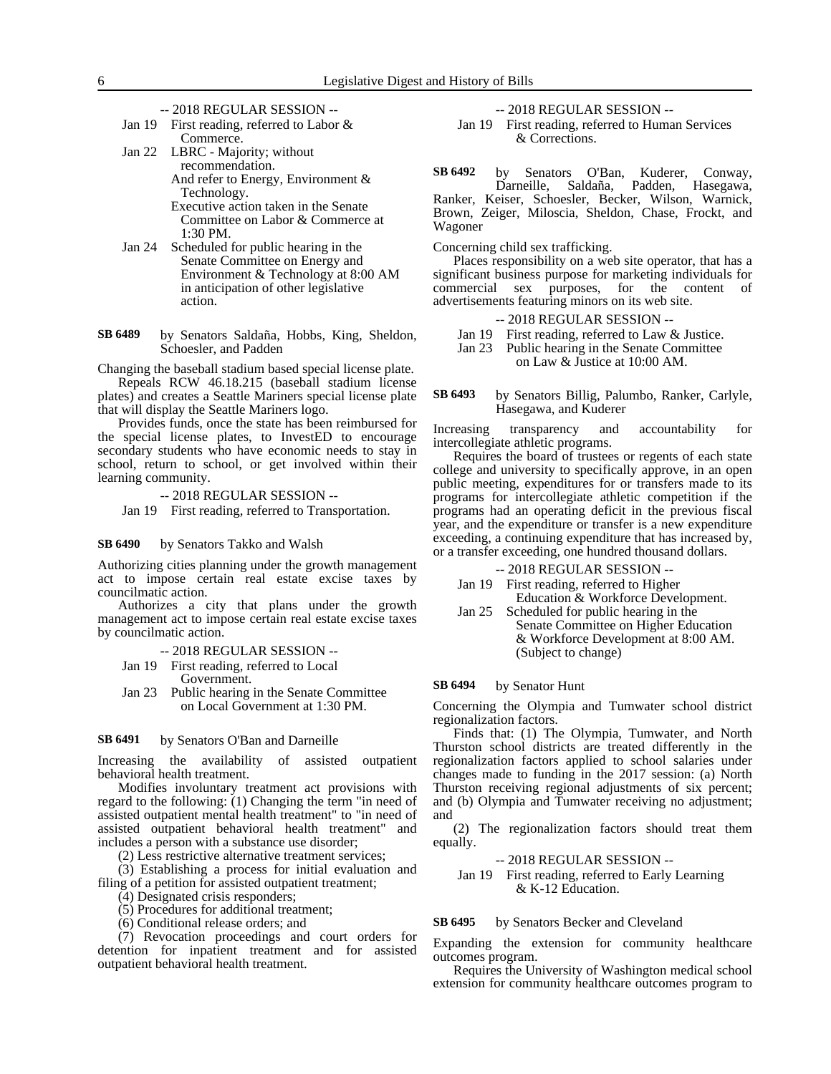- -- 2018 REGULAR SESSION --
- Jan 19 First reading, referred to Labor & Commerce.
- Jan 22 LBRC Majority; without recommendation. And refer to Energy, Environment &
	- Technology. Executive action taken in the Senate Committee on Labor & Commerce at 1:30 PM.
- Jan 24 Scheduled for public hearing in the Senate Committee on Energy and Environment & Technology at 8:00 AM in anticipation of other legislative action.
- by Senators Saldaña, Hobbs, King, Sheldon, Schoesler, and Padden **SB 6489**

Changing the baseball stadium based special license plate.

Repeals RCW 46.18.215 (baseball stadium license plates) and creates a Seattle Mariners special license plate that will display the Seattle Mariners logo.

Provides funds, once the state has been reimbursed for the special license plates, to InvestED to encourage secondary students who have economic needs to stay in school, return to school, or get involved within their learning community.

-- 2018 REGULAR SESSION -- Jan 19 First reading, referred to Transportation.

### by Senators Takko and Walsh **SB 6490**

Authorizing cities planning under the growth management act to impose certain real estate excise taxes by councilmatic action.

Authorizes a city that plans under the growth management act to impose certain real estate excise taxes by councilmatic action.

-- 2018 REGULAR SESSION --

- Jan 19 First reading, referred to Local
- Government. Jan 23 Public hearing in the Senate Committee on Local Government at 1:30 PM.

#### by Senators O'Ban and Darneille **SB 6491**

Increasing the availability of assisted outpatient behavioral health treatment.

Modifies involuntary treatment act provisions with regard to the following: (1) Changing the term "in need of assisted outpatient mental health treatment" to "in need of assisted outpatient behavioral health treatment" and includes a person with a substance use disorder;

(2) Less restrictive alternative treatment services;

(3) Establishing a process for initial evaluation and filing of a petition for assisted outpatient treatment;

(4) Designated crisis responders;

(5) Procedures for additional treatment;

(6) Conditional release orders; and

(7) Revocation proceedings and court orders for detention for inpatient treatment and for assisted outpatient behavioral health treatment.

-- 2018 REGULAR SESSION --

Jan 19 First reading, referred to Human Services & Corrections.

by Senators O'Ban, Kuderer, Conway,<br>Darneille, Saldaña, Padden, Hasegawa, Padden, Hasegawa, Ranker, Keiser, Schoesler, Becker, Wilson, Warnick, Brown, Zeiger, Miloscia, Sheldon, Chase, Frockt, and Wagoner **SB 6492**

Concerning child sex trafficking.

Places responsibility on a web site operator, that has a significant business purpose for marketing individuals for commercial sex purposes, for the content of advertisements featuring minors on its web site.

- -- 2018 REGULAR SESSION --
- Jan 19 First reading, referred to Law & Justice.
- Jan 23 Public hearing in the Senate Committee

on Law & Justice at 10:00 AM.

by Senators Billig, Palumbo, Ranker, Carlyle, Hasegawa, and Kuderer **SB 6493**

Increasing transparency and accountability for intercollegiate athletic programs.

Requires the board of trustees or regents of each state college and university to specifically approve, in an open public meeting, expenditures for or transfers made to its programs for intercollegiate athletic competition if the programs had an operating deficit in the previous fiscal year, and the expenditure or transfer is a new expenditure exceeding, a continuing expenditure that has increased by, or a transfer exceeding, one hundred thousand dollars.

-- 2018 REGULAR SESSION --

- Jan 19 First reading, referred to Higher Education & Workforce Development.
- Jan 25 Scheduled for public hearing in the Senate Committee on Higher Education & Workforce Development at 8:00 AM. (Subject to change)

### by Senator Hunt **SB 6494**

Concerning the Olympia and Tumwater school district regionalization factors.

Finds that: (1) The Olympia, Tumwater, and North Thurston school districts are treated differently in the regionalization factors applied to school salaries under changes made to funding in the 2017 session: (a) North Thurston receiving regional adjustments of six percent; and (b) Olympia and Tumwater receiving no adjustment; and

(2) The regionalization factors should treat them equally.

-- 2018 REGULAR SESSION --

Jan 19 First reading, referred to Early Learning & K-12 Education.

by Senators Becker and Cleveland **SB 6495**

Expanding the extension for community healthcare outcomes program.

Requires the University of Washington medical school extension for community healthcare outcomes program to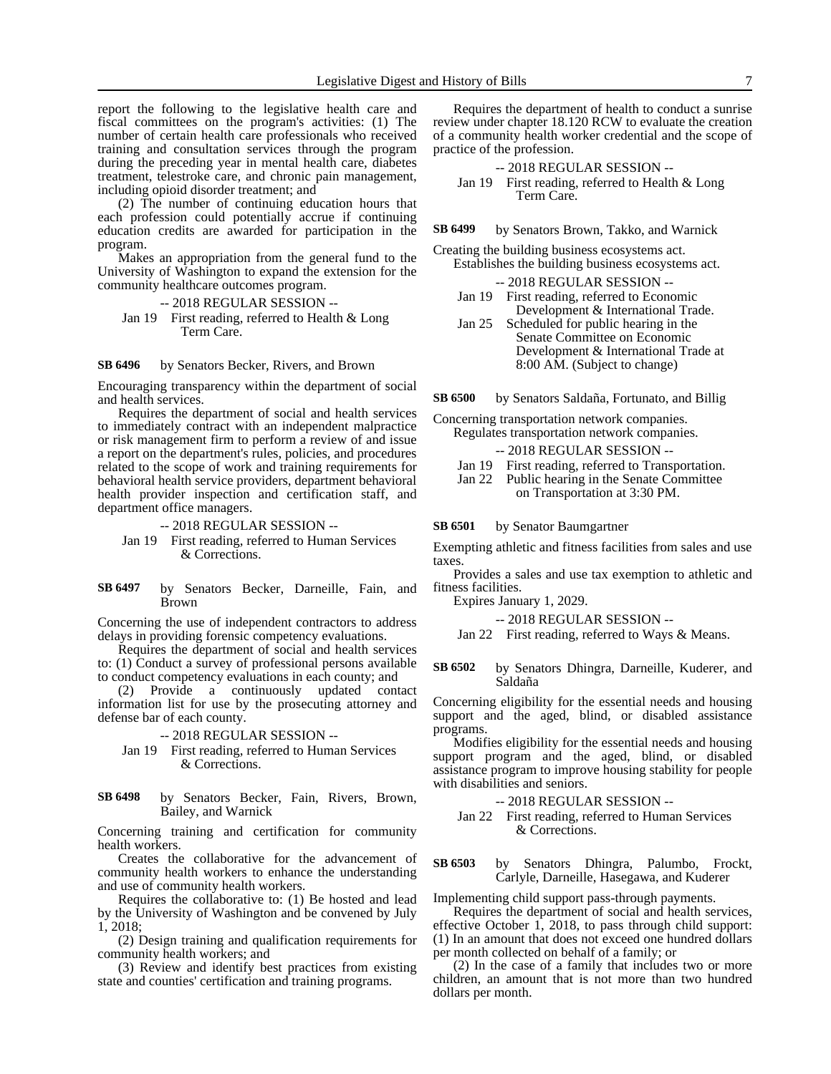report the following to the legislative health care and fiscal committees on the program's activities: (1) The number of certain health care professionals who received training and consultation services through the program during the preceding year in mental health care, diabetes treatment, telestroke care, and chronic pain management, including opioid disorder treatment; and

(2) The number of continuing education hours that each profession could potentially accrue if continuing education credits are awarded for participation in the program.

Makes an appropriation from the general fund to the University of Washington to expand the extension for the community healthcare outcomes program.

-- 2018 REGULAR SESSION -- Jan 19 First reading, referred to Health & Long Term Care.

by Senators Becker, Rivers, and Brown **SB 6496**

Encouraging transparency within the department of social and health services.

Requires the department of social and health services to immediately contract with an independent malpractice or risk management firm to perform a review of and issue a report on the department's rules, policies, and procedures related to the scope of work and training requirements for behavioral health service providers, department behavioral health provider inspection and certification staff, and department office managers.

-- 2018 REGULAR SESSION --

Jan 19 First reading, referred to Human Services & Corrections.

by Senators Becker, Darneille, Fain, and Brown **SB 6497**

Concerning the use of independent contractors to address delays in providing forensic competency evaluations.

Requires the department of social and health services to: (1) Conduct a survey of professional persons available to conduct competency evaluations in each county; and

(2) Provide a continuously updated contact information list for use by the prosecuting attorney and defense bar of each county.

-- 2018 REGULAR SESSION --

Jan 19 First reading, referred to Human Services & Corrections.

### by Senators Becker, Fain, Rivers, Brown, Bailey, and Warnick **SB 6498**

Concerning training and certification for community health workers.

Creates the collaborative for the advancement of community health workers to enhance the understanding and use of community health workers.

Requires the collaborative to: (1) Be hosted and lead by the University of Washington and be convened by July 1, 2018;

(2) Design training and qualification requirements for community health workers; and

(3) Review and identify best practices from existing state and counties' certification and training programs.

Requires the department of health to conduct a sunrise review under chapter 18.120 RCW to evaluate the creation of a community health worker credential and the scope of practice of the profession.

-- 2018 REGULAR SESSION -- Jan 19 First reading, referred to Health & Long Term Care.

by Senators Brown, Takko, and Warnick **SB 6499**

Creating the building business ecosystems act. Establishes the building business ecosystems act.

-- 2018 REGULAR SESSION --

- Jan 19 First reading, referred to Economic Development & International Trade.
- Jan 25 Scheduled for public hearing in the Senate Committee on Economic Development & International Trade at 8:00 AM. (Subject to change)

by Senators Saldaña, Fortunato, and Billig **SB 6500**

Concerning transportation network companies. Regulates transportation network companies.

-- 2018 REGULAR SESSION --

- Jan 19 First reading, referred to Transportation.
- Jan 22 Public hearing in the Senate Committee on Transportation at 3:30 PM.

by Senator Baumgartner **SB 6501**

Exempting athletic and fitness facilities from sales and use taxes.

Provides a sales and use tax exemption to athletic and fitness facilities.

Expires January 1, 2029.

-- 2018 REGULAR SESSION --

Jan 22 First reading, referred to Ways & Means.

by Senators Dhingra, Darneille, Kuderer, and Saldaña **SB 6502**

Concerning eligibility for the essential needs and housing support and the aged, blind, or disabled assistance programs.

Modifies eligibility for the essential needs and housing support program and the aged, blind, or disabled assistance program to improve housing stability for people with disabilities and seniors.

-- 2018 REGULAR SESSION --

Jan 22 First reading, referred to Human Services & Corrections.

by Senators Dhingra, Palumbo, Frockt, Carlyle, Darneille, Hasegawa, and Kuderer **SB 6503**

Implementing child support pass-through payments.

Requires the department of social and health services, effective October 1, 2018, to pass through child support: (1) In an amount that does not exceed one hundred dollars per month collected on behalf of a family; or

(2) In the case of a family that includes two or more children, an amount that is not more than two hundred dollars per month.